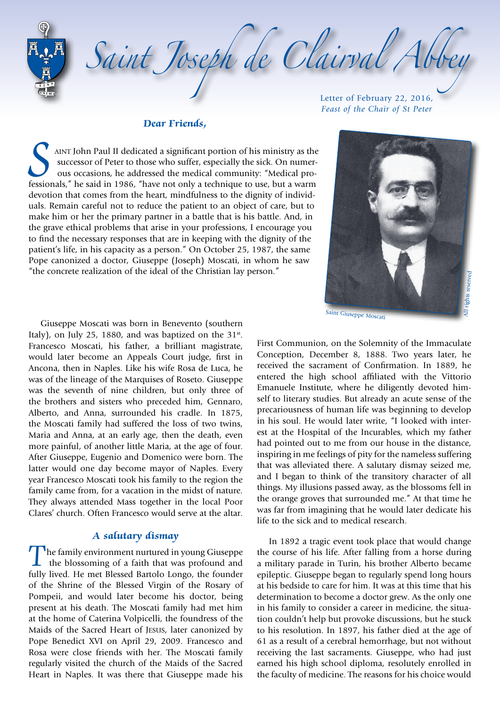Saint Joseph de Clairval Abb

### **Dear Friends,**

S AINT John Paul II dedicated a significant portion of his ministry as the successor of Peter to those who suffer, especially the sick. On numerous occasions, he addressed the medical community: "Medical professionals," he successor of Peter to those who suffer, especially the sick. On numerous occasions, he addressed the medical community: "Medical professionals," he said in 1986, "have not only a technique to use, but a warm devotion that comes from the heart, mindfulness to the dignity of individuals. Remain careful not to reduce the patient to an object of care, but to make him or her the primary partner in a battle that is his battle. And, in the grave ethical problems that arise in your professions, I encourage you to find the necessary responses that are in keeping with the dignity of the patient's life, in his capacity as a person." On October 25, 1987, the same Pope canonized a doctor, Giuseppe (Joseph) Moscati, in whom he saw "the concrete realization of the ideal of the Christian lay person."

Letter of February 22, 2016, *Feast of the Chair of St Peter*



Giuseppe Moscati was born in Benevento (southern Italy), on July 25, 1880, and was baptized on the  $31^{st}$ . Francesco Moscati, his father, a brilliant magistrate, would later become an Appeals Court judge, first in Ancona, then in Naples. Like his wife Rosa de Luca, he was of the lineage of the Marquises of Roseto. Giuseppe was the seventh of nine children, but only three of the brothers and sisters who preceded him, Gennaro, Alberto, and Anna, surrounded his cradle. In 1875, the Moscati family had suffered the loss of two twins, Maria and Anna, at an early age, then the death, even more painful, of another little Maria, at the age of four. After Giuseppe, Eugenio and Domenico were born. The latter would one day become mayor of Naples. Every year Francesco Moscati took his family to the region the family came from, for a vacation in the midst of nature. They always attended Mass together in the local Poor Clares' church. Often Francesco would serve at the altar.

### **A salutary dismay**

The family environment nurtured in young Giuseppe the blossoming of a faith that was profound and fully lived. He met Blessed Bartolo Longo, the founder of the Shrine of the Blessed Virgin of the Rosary of Pompeii, and would later become his doctor, being present at his death. The Moscati family had met him at the home of Caterina Volpicelli, the foundress of the Maids of the Sacred Heart of Jesus, later canonized by Pope Benedict XVI on April 29, 2009. Francesco and Rosa were close friends with her. The Moscati family regularly visited the church of the Maids of the Sacred Heart in Naples. It was there that Giuseppe made his

First Communion, on the Solemnity of the Immaculate Conception, December 8, 1888. Two years later, he received the sacrament of Confirmation. In 1889, he entered the high school affiliated with the Vittorio Emanuele Institute, where he diligently devoted himself to literary studies. But already an acute sense of the precariousness of human life was beginning to develop in his soul. He would later write, "I looked with interest at the Hospital of the Incurables, which my father had pointed out to me from our house in the distance, inspiring in me feelings of pity for the nameless suffering that was alleviated there. A salutary dismay seized me, and I began to think of the transitory character of all things. My illusions passed away, as the blossoms fell in the orange groves that surrounded me." At that time he was far from imagining that he would later dedicate his life to the sick and to medical research.

In 1892 a tragic event took place that would change the course of his life. After falling from a horse during a military parade in Turin, his brother Alberto became epileptic. Giuseppe began to regularly spend long hours at his bedside to care for him. It was at this time that his determination to become a doctor grew. As the only one in his family to consider a career in medicine, the situation couldn't help but provoke discussions, but he stuck to his resolution. In 1897, his father died at the age of 61 as a result of a cerebral hemorrhage, but not without receiving the last sacraments. Giuseppe, who had just earned his high school diploma, resolutely enrolled in the faculty of medicine. The reasons for his choice would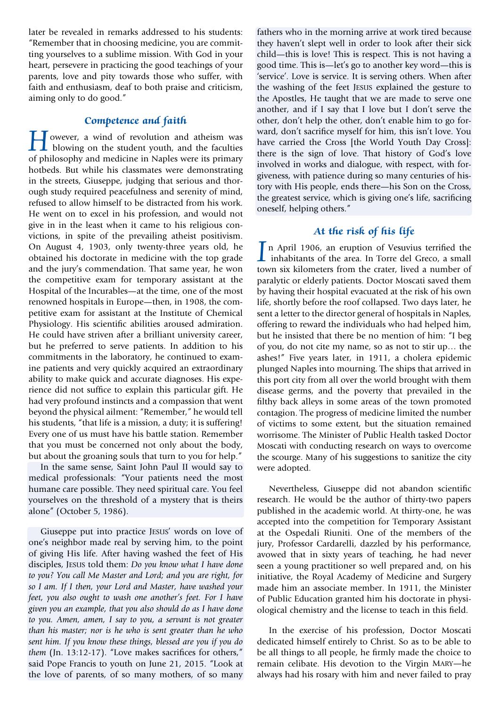later be revealed in remarks addressed to his students: "Remember that in choosing medicine, you are committing yourselves to a sublime mission. With God in your heart, persevere in practicing the good teachings of your parents, love and pity towards those who suffer, with faith and enthusiasm, deaf to both praise and criticism, aiming only to do good."

# **Competence and faith**

**H**owever, a wind of revolution and atheism was<br>blowing on the student youth, and the faculties<br>of philosophy and medicine in Naples were its primary of philosophy and medicine in Naples were its primary hotbeds. But while his classmates were demonstrating in the streets, Giuseppe, judging that serious and thorough study required peacefulness and serenity of mind, refused to allow himself to be distracted from his work. He went on to excel in his profession, and would not give in in the least when it came to his religious convictions, in spite of the prevailing atheist positivism. On August 4, 1903, only twenty-three years old, he obtained his doctorate in medicine with the top grade and the jury's commendation. That same year, he won the competitive exam for temporary assistant at the Hospital of the Incurables—at the time, one of the most renowned hospitals in Europe—then, in 1908, the competitive exam for assistant at the Institute of Chemical Physiology. His scientific abilities aroused admiration. He could have striven after a brilliant university career, but he preferred to serve patients. In addition to his commitments in the laboratory, he continued to examine patients and very quickly acquired an extraordinary ability to make quick and accurate diagnoses. His experience did not suffice to explain this particular gift. He had very profound instincts and a compassion that went beyond the physical ailment: "Remember," he would tell his students, "that life is a mission, a duty; it is suffering! Every one of us must have his battle station. Remember that you must be concerned not only about the body, but about the groaning souls that turn to you for help."

In the same sense, Saint John Paul II would say to medical professionals: "Your patients need the most humane care possible. They need spiritual care. You feel yourselves on the threshold of a mystery that is theirs alone" (October 5, 1986).

Giuseppe put into practice Jesus' words on love of one's neighbor made real by serving him, to the point of giving His life. After having washed the feet of His disciples, Jesus told them: *Do you know what I have done to you? You call Me Master and Lord; and you are right, for so I am. If I then, your Lord and Master, have washed your feet, you also ought to wash one another's feet. For I have given you an example, that you also should do as I have done to you. Amen, amen, I say to you, a servant is not greater than his master; nor is he who is sent greater than he who sent him. If you know these things, blessed are you if you do them* (Jn. 13:12-17). "Love makes sacrifices for others," said Pope Francis to youth on June 21, 2015. "Look at the love of parents, of so many mothers, of so many

fathers who in the morning arrive at work tired because they haven't slept well in order to look after their sick child—this is love! This is respect. This is not having a good time. This is—let's go to another key word—this is 'service'. Love is service. It is serving others. When after the washing of the feet Jesus explained the gesture to the Apostles, He taught that we are made to serve one another, and if I say that I love but I don't serve the other, don't help the other, don't enable him to go forward, don't sacrifice myself for him, this isn't love. You have carried the Cross [the World Youth Day Cross]: there is the sign of love. That history of God's love involved in works and dialogue, with respect, with forgiveness, with patience during so many centuries of history with His people, ends there—his Son on the Cross, the greatest service, which is giving one's life, sacrificing oneself, helping others."

# **At the risk of his life**

In April 1906, an eruption of Vesuvius terrified the inhabitants of the area. In Torre del Greco, a small town six kilometers from the crater lived a number of town six kilometers from the crater, lived a number of paralytic or elderly patients. Doctor Moscati saved them by having their hospital evacuated at the risk of his own life, shortly before the roof collapsed. Two days later, he sent a letter to the director general of hospitals in Naples, offering to reward the individuals who had helped him, but he insisted that there be no mention of him: "I beg of you, do not cite my name, so as not to stir up… the ashes!" Five years later, in 1911, a cholera epidemic plunged Naples into mourning. The ships that arrived in this port city from all over the world brought with them disease germs, and the poverty that prevailed in the filthy back alleys in some areas of the town promoted contagion. The progress of medicine limited the number of victims to some extent, but the situation remained worrisome. The Minister of Public Health tasked Doctor Moscati with conducting research on ways to overcome the scourge. Many of his suggestions to sanitize the city were adopted.

Nevertheless, Giuseppe did not abandon scientific research. He would be the author of thirty-two papers published in the academic world. At thirty-one, he was accepted into the competition for Temporary Assistant at the Ospedali Riuniti. One of the members of the jury, Professor Cardarelli, dazzled by his performance, avowed that in sixty years of teaching, he had never seen a young practitioner so well prepared and, on his initiative, the Royal Academy of Medicine and Surgery made him an associate member. In 1911, the Minister of Public Education granted him his doctorate in physiological chemistry and the license to teach in this field.

In the exercise of his profession, Doctor Moscati dedicated himself entirely to Christ. So as to be able to be all things to all people, he firmly made the choice to remain celibate. His devotion to the Virgin Mary—he always had his rosary with him and never failed to pray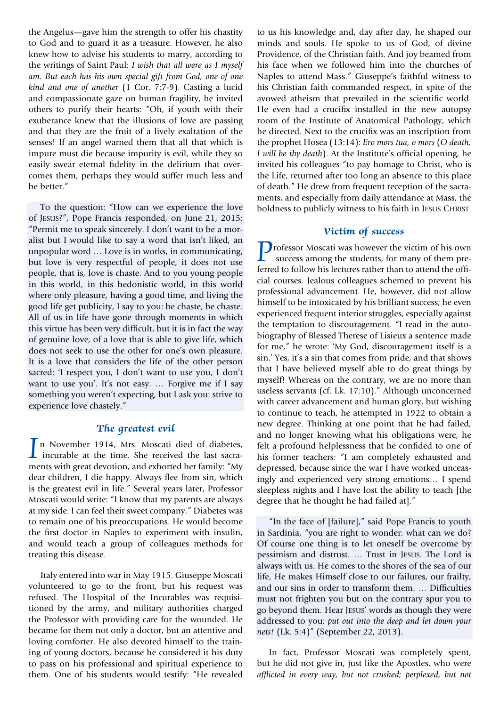the Angelus—gave him the strength to offer his chastity to God and to guard it as a treasure. However, he also knew how to advise his students to marry, according to the writings of Saint Paul: *I wish that all were as I myself am. But each has his own special gift from God, one of one kind and one of another* (1 Cor. 7:7-9). Casting a lucid and compassionate gaze on human fragility, he invited others to purify their hearts: "Oh, if youth with their exuberance knew that the illusions of love are passing and that they are the fruit of a lively exaltation of the senses! If an angel warned them that all that which is impure must die because impurity is evil, while they so easily swear eternal fidelity in the delirium that overcomes them, perhaps they would suffer much less and be better."

To the question: "How can we experience the love of Jesus?", Pope Francis responded, on June 21, 2015: "Permit me to speak sincerely. I don't want to be a moralist but I would like to say a word that isn't liked, an unpopular word … Love is in works, in communicating, but love is very respectful of people, it does not use people, that is, love is chaste. And to you young people in this world, in this hedonistic world, in this world where only pleasure, having a good time, and living the good life get publicity, I say to you: be chaste, be chaste. All of us in life have gone through moments in which this virtue has been very difficult, but it is in fact the way of genuine love, of a love that is able to give life, which does not seek to use the other for one's own pleasure. It is a love that considers the life of the other person sacred: 'I respect you, I don't want to use you, I don't want to use you'. It's not easy. … Forgive me if I say something you weren't expecting, but I ask you: strive to experience love chastely."

### **The greatest evil**

In November 1914, Mrs. Moscati died of diabetes, incurable at the time. She received the last sacra-<br>ments with great devotion and exhorted her family: "My ments with great devotion, and exhorted her family: "My dear children, I die happy. Always flee from sin, which is the greatest evil in life." Several years later, Professor Moscati would write: "I know that my parents are always at my side. I can feel their sweet company." Diabetes was to remain one of his preoccupations. He would become the first doctor in Naples to experiment with insulin, and would teach a group of colleagues methods for treating this disease.

Italy entered into war in May 1915. Giuseppe Moscati volunteered to go to the front, but his request was refused. The Hospital of the Incurables was requisitioned by the army, and military authorities charged the Professor with providing care for the wounded. He became for them not only a doctor, but an attentive and loving comforter. He also devoted himself to the training of young doctors, because he considered it his duty to pass on his professional and spiritual experience to them. One of his students would testify: "He revealed

to us his knowledge and, day after day, he shaped our minds and souls. He spoke to us of God, of divine Providence, of the Christian faith. And joy beamed from his face when we followed him into the churches of Naples to attend Mass." Giuseppe's faithful witness to his Christian faith commanded respect, in spite of the avowed atheism that prevailed in the scientific world. He even had a crucifix installed in the new autopsy room of the Institute of Anatomical Pathology, which he directed. Next to the crucifix was an inscription from the prophet Hosea (13:14): *Ero mors tua, o mors* (*O death, I will be thy death*). At the Institute's official opening, he invited his colleagues "to pay homage to Christ, who is the Life, returned after too long an absence to this place of death." He drew from frequent reception of the sacraments, and especially from daily attendance at Mass, the boldness to publicly witness to his faith in JESUS CHRIST.

### **Victim of success**

**Professor Moscati was however the victim of his own** success among the students, for many of them preferred to follow his lectures rather than to attend the official courses. Jealous colleagues schemed to prevent his professional advancement. He, however, did not allow himself to be intoxicated by his brilliant success; he even experienced frequent interior struggles, especially against the temptation to discouragement. "I read in the autobiography of Blessed Therese of Lisieux a sentence made for me," he wrote: 'My God, discouragement itself is a sin.' Yes, it's a sin that comes from pride, and that shows that I have believed myself able to do great things by myself! Whereas on the contrary, we are no more than useless servants (cf. Lk. 17:10)." Although unconcerned with career advancement and human glory, but wishing to continue to teach, he attempted in 1922 to obtain a new degree. Thinking at one point that he had failed, and no longer knowing what his obligations were, he felt a profound helplessness that he confided to one of his former teachers: "I am completely exhausted and depressed, because since the war I have worked unceasingly and experienced very strong emotions… I spend sleepless nights and I have lost the ability to teach [the degree that he thought he had failed at]."

"In the face of [failure]," said Pope Francis to youth in Sardinia, "you are right to wonder: what can we do? Of course one thing is to let oneself be overcome by pessimism and distrust. … Trust in Jesus. The Lord is always with us. He comes to the shores of the sea of our life, He makes Himself close to our failures, our frailty, and our sins in order to transform them. … Difficulties must not frighten you but on the contrary spur you to go beyond them. Hear Jesus' words as though they were addressed to you: *put out into the deep and let down your nets!* (Lk. 5:4)" (September 22, 2013).

In fact, Professor Moscati was completely spent, but he did not give in, just like the Apostles, who were *afflicted in every way, but not crushed; perplexed, but not*